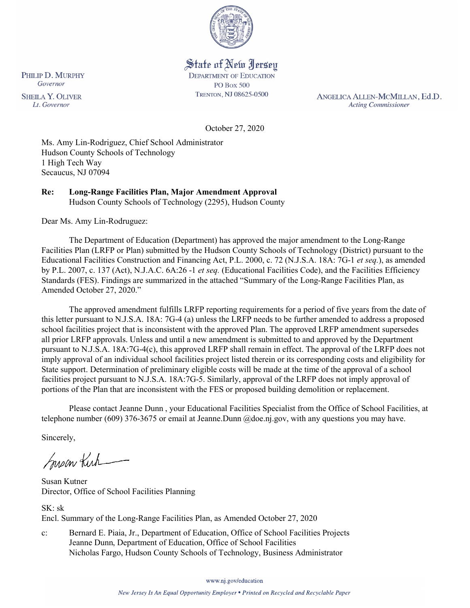

# State of New Jersey

**DEPARTMENT OF EDUCATION PO Box 500** TRENTON, NJ 08625-0500

ANGELICA ALLEN-MCMILLAN, Ed.D. **Acting Commissioner** 

October 27, 2020

Ms. Amy Lin-Rodriguez, Chief School Administrator Hudson County Schools of Technology 1 High Tech Way Secaucus, NJ 07094

**Re: Long-Range Facilities Plan, Major Amendment Approval**  Hudson County Schools of Technology (2295), Hudson County

Dear Ms. Amy Lin-Rodruguez:

 Facilities Plan (LRFP or Plan) submitted by the Hudson County Schools of Technology (District) pursuant to the Standards (FES). Findings are summarized in the attached "Summary of the Long-Range Facilities Plan, as Amended October 27, 2020." The Department of Education (Department) has approved the major amendment to the Long-Range Educational Facilities Construction and Financing Act, P.L. 2000, c. 72 (N.J.S.A. 18A: 7G-1 *et seq.*), as amended by P.L. 2007, c. 137 (Act), N.J.A.C. 6A:26 -1 *et seq.* (Educational Facilities Code), and the Facilities Efficiency

Amended October 27, 2020."<br>The approved amendment fulfills LRFP reporting requirements for a period of five years from the date of school facilities project that is inconsistent with the approved Plan. The approved LRFP amendment supersedes pursuant to N.J.S.A. 18A:7G-4(c), this approved LRFP shall remain in effect. The approval of the LRFP does not imply approval of an individual school facilities project listed therein or its corresponding costs and eligibility for State support. Determination of preliminary eligible costs will be made at the time of the approval of a school facilities project pursuant to N.J.S.A. 18A:7G-5. Similarly, approval of the LRFP does not imply approval of this letter pursuant to N.J.S.A. 18A: 7G-4 (a) unless the LRFP needs to be further amended to address a proposed all prior LRFP approvals. Unless and until a new amendment is submitted to and approved by the Department portions of the Plan that are inconsistent with the FES or proposed building demolition or replacement.

Please contact Jeanne Dunn , your Educational Facilities Specialist from the Office of School Facilities, at telephone number (609) 376-3675 or email at Jeanne.Dunn [@doe.nj.gov,](https://doe.nj.gov) with any questions you may have.

Sincerely,

moon Kich

Susan Kutner Director, Office of School Facilities Planning

SK: sk Encl. Summary of the Long-Range Facilities Plan, as Amended October 27, 2020

 Nicholas Fargo, Hudson County Schools of Technology, Business Administrator c: Bernard E. Piaia, Jr., Department of Education, Office of School Facilities Projects Jeanne Dunn, Department of Education, Office of School Facilities

www.nj.gov/education

PHILIP D. MURPHY Governor

**SHEILA Y. OLIVER** Lt. Governor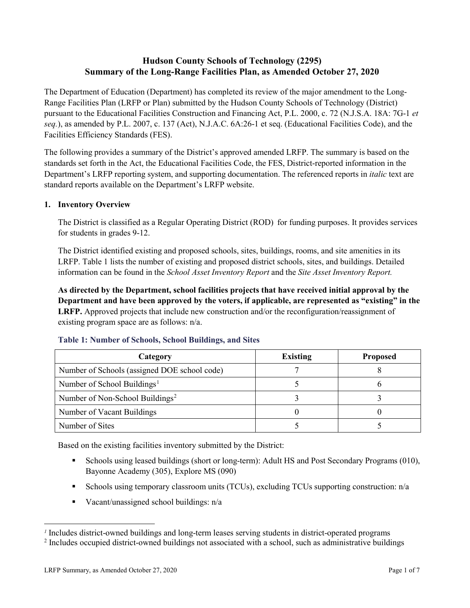## **Hudson County Schools of Technology (2295) Summary of the Long-Range Facilities Plan, as Amended October 27, 2020**

 pursuant to the Educational Facilities Construction and Financing Act, P.L. 2000, c. 72 (N.J.S.A. 18A: 7G-1 *et*  The Department of Education (Department) has completed its review of the major amendment to the Long-Range Facilities Plan (LRFP or Plan) submitted by the Hudson County Schools of Technology (District) *seq.*), as amended by P.L. 2007, c. 137 (Act), N.J.A.C. 6A:26-1 et seq. (Educational Facilities Code), and the Facilities Efficiency Standards (FES).

 standards set forth in the Act, the Educational Facilities Code, the FES, District-reported information in the The following provides a summary of the District's approved amended LRFP. The summary is based on the Department's LRFP reporting system, and supporting documentation. The referenced reports in *italic* text are standard reports available on the Department's LRFP website.

#### **1. Inventory Overview**

The District is classified as a Regular Operating District (ROD) for funding purposes. It provides services for students in grades 9-12.

 information can be found in the *School Asset Inventory Report* and the *Site Asset Inventory Report.*  The District identified existing and proposed schools, sites, buildings, rooms, and site amenities in its LRFP. Table 1 lists the number of existing and proposed district schools, sites, and buildings. Detailed

 **LRFP.** Approved projects that include new construction and/or the reconfiguration/reassignment of **As directed by the Department, school facilities projects that have received initial approval by the Department and have been approved by the voters, if applicable, are represented as "existing" in the**  existing program space are as follows: n/a.

| Category                                     | <b>Existing</b> | <b>Proposed</b> |
|----------------------------------------------|-----------------|-----------------|
| Number of Schools (assigned DOE school code) |                 |                 |
| Number of School Buildings <sup>1</sup>      |                 |                 |
| Number of Non-School Buildings <sup>2</sup>  |                 |                 |
| Number of Vacant Buildings                   |                 |                 |
| Number of Sites                              |                 |                 |

#### **Table 1: Number of Schools, School Buildings, and Sites**

Based on the existing facilities inventory submitted by the District:

- Schools using leased buildings (short or long-term): Adult HS and Post Secondary Programs (010), Bayonne Academy (305), Explore MS (090)
- Schools using temporary classroom units (TCUs), excluding TCUs supporting construction: n/a
- Vacant/unassigned school buildings: n/a

 $\overline{a}$ 

<span id="page-1-1"></span><span id="page-1-0"></span>*<sup>1</sup>*Includes district-owned buildings and long-term leases serving students in district-operated programs

<sup>&</sup>lt;sup>2</sup> Includes occupied district-owned buildings not associated with a school, such as administrative buildings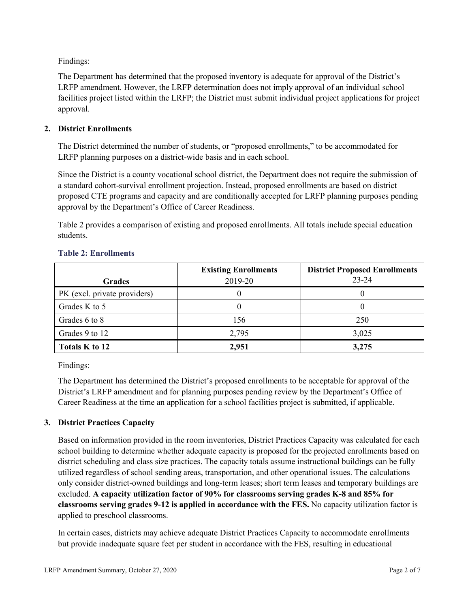Findings:

The Department has determined that the proposed inventory is adequate for approval of the District's LRFP amendment. However, the LRFP determination does not imply approval of an individual school facilities project listed within the LRFP; the District must submit individual project applications for project approval.

## **2. District Enrollments**

 The District determined the number of students, or "proposed enrollments," to be accommodated for LRFP planning purposes on a district-wide basis and in each school.

Since the District is a county vocational school district, the Department does not require the submission of a standard cohort-survival enrollment projection. Instead, proposed enrollments are based on district proposed CTE programs and capacity and are conditionally accepted for LRFP planning purposes pending approval by the Department's Office of Career Readiness.

 Table 2 provides a comparison of existing and proposed enrollments. All totals include special education students.

|                              | <b>Existing Enrollments</b> | <b>District Proposed Enrollments</b> |
|------------------------------|-----------------------------|--------------------------------------|
| <b>Grades</b>                | 2019-20                     | $23 - 24$                            |
| PK (excl. private providers) |                             |                                      |
| Grades K to 5                |                             |                                      |
| Grades 6 to 8                | 156                         | 250                                  |
| Grades 9 to 12               | 2,795                       | 3,025                                |
| Totals K to 12               | 2,951                       | 3,275                                |

#### **Table 2: Enrollments**

Findings:

The Department has determined the District's proposed enrollments to be acceptable for approval of the District's LRFP amendment and for planning purposes pending review by the Department's Office of Career Readiness at the time an application for a school facilities project is submitted, if applicable.

## **3. District Practices Capacity**

 Based on information provided in the room inventories, District Practices Capacity was calculated for each  excluded. **A capacity utilization factor of 90% for classrooms serving grades K-8 and 85% for classrooms serving grades 9-12 is applied in accordance with the FES.** No capacity utilization factor is school building to determine whether adequate capacity is proposed for the projected enrollments based on district scheduling and class size practices. The capacity totals assume instructional buildings can be fully utilized regardless of school sending areas, transportation, and other operational issues. The calculations only consider district-owned buildings and long-term leases; short term leases and temporary buildings are applied to preschool classrooms.

In certain cases, districts may achieve adequate District Practices Capacity to accommodate enrollments but provide inadequate square feet per student in accordance with the FES, resulting in educational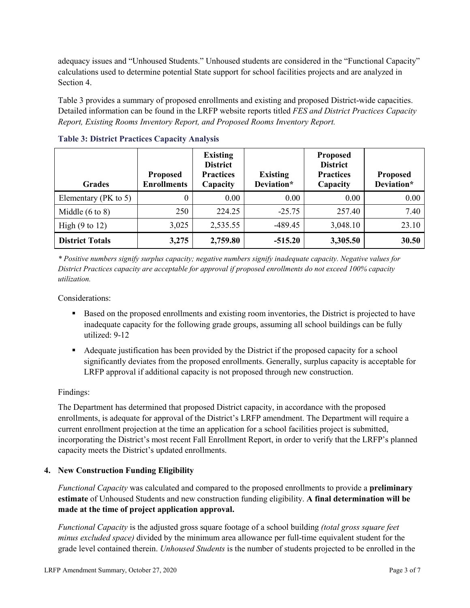calculations used to determine potential State support for school facilities projects and are analyzed in adequacy issues and "Unhoused Students." Unhoused students are considered in the "Functional Capacity" Section 4.

 *Report, Existing Rooms Inventory Report, and Proposed Rooms Inventory Report.* Table 3 provides a summary of proposed enrollments and existing and proposed District-wide capacities. Detailed information can be found in the LRFP website reports titled *FES and District Practices Capacity* 

| <b>Grades</b>              | <b>Proposed</b><br><b>Enrollments</b> | <b>Existing</b><br><b>District</b><br><b>Practices</b><br>Capacity | <b>Existing</b><br>Deviation* | <b>Proposed</b><br><b>District</b><br><b>Practices</b><br>Capacity | <b>Proposed</b><br>Deviation* |
|----------------------------|---------------------------------------|--------------------------------------------------------------------|-------------------------------|--------------------------------------------------------------------|-------------------------------|
| Elementary ( $PK$ to 5)    | 0                                     | 0.00                                                               | 0.00                          | 0.00                                                               | 0.00                          |
| Middle $(6 \text{ to } 8)$ | 250                                   | 224.25                                                             | $-25.75$                      | 257.40                                                             | 7.40                          |
| High $(9 \text{ to } 12)$  | 3,025                                 | 2,535.55                                                           | $-489.45$                     | 3,048.10                                                           | 23.10                         |
| <b>District Totals</b>     | 3,275                                 | 2,759.80                                                           | $-515.20$                     | 3,305.50                                                           | 30.50                         |

**Table 3: District Practices Capacity Analysis** 

 *\* Positive numbers signify surplus capacity; negative numbers signify inadequate capacity. Negative values for District Practices capacity are acceptable for approval if proposed enrollments do not exceed 100% capacity utilization.* 

Considerations:

- Based on the proposed enrollments and existing room inventories, the District is projected to have inadequate capacity for the following grade groups, assuming all school buildings can be fully utilized: 9-12
- Adequate justification has been provided by the District if the proposed capacity for a school LRFP approval if additional capacity is not proposed through new construction. significantly deviates from the proposed enrollments. Generally, surplus capacity is acceptable for

## Findings:

 enrollments, is adequate for approval of the District's LRFP amendment. The Department will require a The Department has determined that proposed District capacity, in accordance with the proposed current enrollment projection at the time an application for a school facilities project is submitted, incorporating the District's most recent Fall Enrollment Report, in order to verify that the LRFP's planned capacity meets the District's updated enrollments.

#### **4. New Construction Funding Eligibility**

 **estimate** of Unhoused Students and new construction funding eligibility. **A final determination will be**  *Functional Capacity* was calculated and compared to the proposed enrollments to provide a **preliminary made at the time of project application approval.** 

 *minus excluded space)* divided by the minimum area allowance per full-time equivalent student for the grade level contained therein. *Unhoused Students* is the number of students projected to be enrolled in the *Functional Capacity* is the adjusted gross square footage of a school building *(total gross square feet*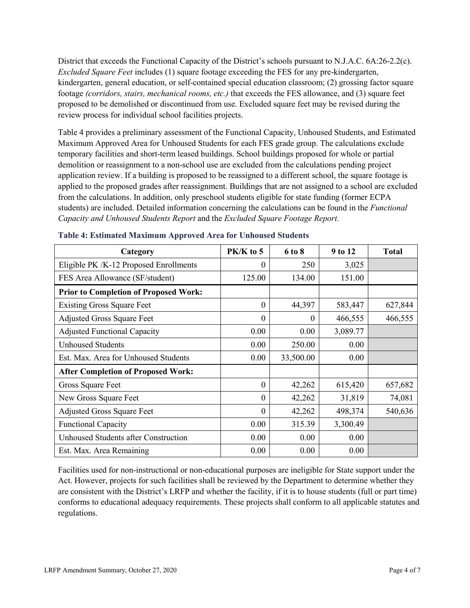footage *(corridors, stairs, mechanical rooms, etc.)* that exceeds the FES allowance, and (3) square feet District that exceeds the Functional Capacity of the District's schools pursuant to N.J.A.C. 6A:26-2.2(c). *Excluded Square Feet* includes (1) square footage exceeding the FES for any pre-kindergarten, kindergarten, general education, or self-contained special education classroom; (2) grossing factor square proposed to be demolished or discontinued from use. Excluded square feet may be revised during the review process for individual school facilities projects.

 Maximum Approved Area for Unhoused Students for each FES grade group. The calculations exclude demolition or reassignment to a non-school use are excluded from the calculations pending project from the calculations. In addition, only preschool students eligible for state funding (former ECPA Table 4 provides a preliminary assessment of the Functional Capacity, Unhoused Students, and Estimated temporary facilities and short-term leased buildings. School buildings proposed for whole or partial application review. If a building is proposed to be reassigned to a different school, the square footage is applied to the proposed grades after reassignment. Buildings that are not assigned to a school are excluded students) are included. Detailed information concerning the calculations can be found in the *Functional Capacity and Unhoused Students Report* and the *Excluded Square Footage Report.* 

| Category                                     | PK/K to 5 | 6 to 8    | 9 to 12  | <b>Total</b> |
|----------------------------------------------|-----------|-----------|----------|--------------|
| Eligible PK /K-12 Proposed Enrollments       | 0         | 250       | 3,025    |              |
| FES Area Allowance (SF/student)              | 125.00    | 134.00    | 151.00   |              |
| <b>Prior to Completion of Proposed Work:</b> |           |           |          |              |
| <b>Existing Gross Square Feet</b>            | $\theta$  | 44,397    | 583,447  | 627,844      |
| <b>Adjusted Gross Square Feet</b>            | $\theta$  | $\theta$  | 466,555  | 466,555      |
| <b>Adjusted Functional Capacity</b>          | 0.00      | 0.00      | 3,089.77 |              |
| <b>Unhoused Students</b>                     | 0.00      | 250.00    | 0.00     |              |
| Est. Max. Area for Unhoused Students         | 0.00      | 33,500.00 | 0.00     |              |
| <b>After Completion of Proposed Work:</b>    |           |           |          |              |
| Gross Square Feet                            | $\theta$  | 42,262    | 615,420  | 657,682      |
| New Gross Square Feet                        | $\theta$  | 42,262    | 31,819   | 74,081       |
| <b>Adjusted Gross Square Feet</b>            | $\theta$  | 42,262    | 498,374  | 540,636      |
| <b>Functional Capacity</b>                   | 0.00      | 315.39    | 3,300.49 |              |
| <b>Unhoused Students after Construction</b>  | 0.00      | 0.00      | 0.00     |              |
| Est. Max. Area Remaining                     | 0.00      | 0.00      | 0.00     |              |

#### **Table 4: Estimated Maximum Approved Area for Unhoused Students**

 Act. However, projects for such facilities shall be reviewed by the Department to determine whether they are consistent with the District's LRFP and whether the facility, if it is to house students (full or part time) Facilities used for non-instructional or non-educational purposes are ineligible for State support under the conforms to educational adequacy requirements. These projects shall conform to all applicable statutes and regulations.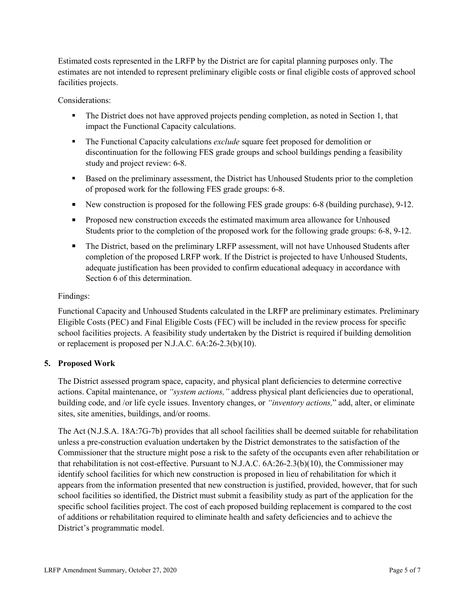Estimated costs represented in the LRFP by the District are for capital planning purposes only. The estimates are not intended to represent preliminary eligible costs or final eligible costs of approved school facilities projects.

Considerations:

- The District does not have approved projects pending completion, as noted in Section 1, that impact the Functional Capacity calculations.
- discontinuation for the following FES grade groups and school buildings pending a feasibility The Functional Capacity calculations *exclude* square feet proposed for demolition or study and project review: 6-8.
- of proposed work for the following FES grade groups: 6-8. Based on the preliminary assessment, the District has Unhoused Students prior to the completion
- New construction is proposed for the following FES grade groups: 6-8 (building purchase), 9-12.
- **Proposed new construction exceeds the estimated maximum area allowance for Unhoused** Students prior to the completion of the proposed work for the following grade groups: 6-8, 9-12.
- completion of the proposed LRFP work. If the District is projected to have Unhoused Students, The District, based on the preliminary LRFP assessment, will not have Unhoused Students after adequate justification has been provided to confirm educational adequacy in accordance with Section 6 of this determination.

## Findings:

Functional Capacity and Unhoused Students calculated in the LRFP are preliminary estimates. Preliminary Eligible Costs (PEC) and Final Eligible Costs (FEC) will be included in the review process for specific school facilities projects. A feasibility study undertaken by the District is required if building demolition or replacement is proposed per N.J.A.C. 6A:26-2.3(b)(10).

## **5. Proposed Work**

 building code, and /or life cycle issues. Inventory changes, or *"inventory actions,*" add, alter, or eliminate The District assessed program space, capacity, and physical plant deficiencies to determine corrective actions. Capital maintenance, or *"system actions,"* address physical plant deficiencies due to operational, sites, site amenities, buildings, and/or rooms.

 The Act (N.J.S.A. 18A:7G-7b) provides that all school facilities shall be deemed suitable for rehabilitation that rehabilitation is not cost-effective. Pursuant to N.J.A.C. 6A:26-2.3(b)(10), the Commissioner may identify school facilities for which new construction is proposed in lieu of rehabilitation for which it school facilities so identified, the District must submit a feasibility study as part of the application for the specific school facilities project. The cost of each proposed building replacement is compared to the cost unless a pre-construction evaluation undertaken by the District demonstrates to the satisfaction of the Commissioner that the structure might pose a risk to the safety of the occupants even after rehabilitation or appears from the information presented that new construction is justified, provided, however, that for such of additions or rehabilitation required to eliminate health and safety deficiencies and to achieve the District's programmatic model.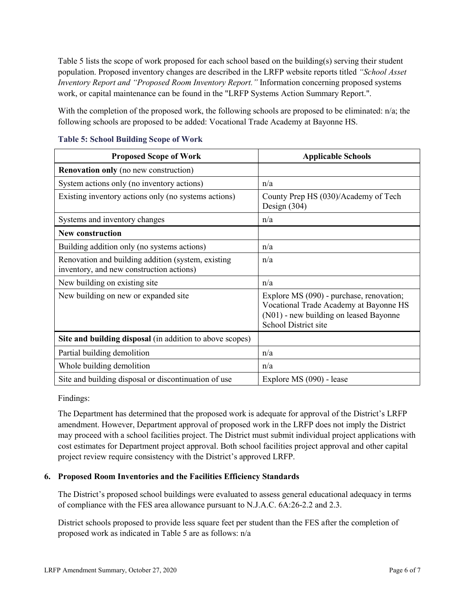Table 5 lists the scope of work proposed for each school based on the building(s) serving their student  *Inventory Report and "Proposed Room Inventory Report."* Information concerning proposed systems work, or capital maintenance can be found in the "LRFP Systems Action Summary Report.". population. Proposed inventory changes are described in the LRFP website reports titled *"School Asset* 

With the completion of the proposed work, the following schools are proposed to be eliminated: n/a; the following schools are proposed to be added: Vocational Trade Academy at Bayonne HS.

| <b>Proposed Scope of Work</b>                                                                  | <b>Applicable Schools</b>                                                                                                                            |
|------------------------------------------------------------------------------------------------|------------------------------------------------------------------------------------------------------------------------------------------------------|
| <b>Renovation only</b> (no new construction)                                                   |                                                                                                                                                      |
| System actions only (no inventory actions)                                                     | n/a                                                                                                                                                  |
| Existing inventory actions only (no systems actions)                                           | County Prep HS (030)/Academy of Tech<br>Design $(304)$                                                                                               |
| Systems and inventory changes                                                                  | n/a                                                                                                                                                  |
| <b>New construction</b>                                                                        |                                                                                                                                                      |
| Building addition only (no systems actions)                                                    | n/a                                                                                                                                                  |
| Renovation and building addition (system, existing<br>inventory, and new construction actions) | n/a                                                                                                                                                  |
| New building on existing site                                                                  | n/a                                                                                                                                                  |
| New building on new or expanded site                                                           | Explore MS (090) - purchase, renovation;<br>Vocational Trade Academy at Bayonne HS<br>(N01) - new building on leased Bayonne<br>School District site |
| Site and building disposal (in addition to above scopes)                                       |                                                                                                                                                      |
| Partial building demolition                                                                    | n/a                                                                                                                                                  |
| Whole building demolition                                                                      | n/a                                                                                                                                                  |
| Site and building disposal or discontinuation of use                                           | Explore MS (090) - lease                                                                                                                             |

## **Table 5: School Building Scope of Work**

Findings:

The Department has determined that the proposed work is adequate for approval of the District's LRFP amendment. However, Department approval of proposed work in the LRFP does not imply the District may proceed with a school facilities project. The District must submit individual project applications with cost estimates for Department project approval. Both school facilities project approval and other capital project review require consistency with the District's approved LRFP.

## **6. Proposed Room Inventories and the Facilities Efficiency Standards**

The District's proposed school buildings were evaluated to assess general educational adequacy in terms of compliance with the FES area allowance pursuant to N.J.A.C. 6A:26-2.2 and 2.3.

 District schools proposed to provide less square feet per student than the FES after the completion of proposed work as indicated in Table 5 are as follows: n/a